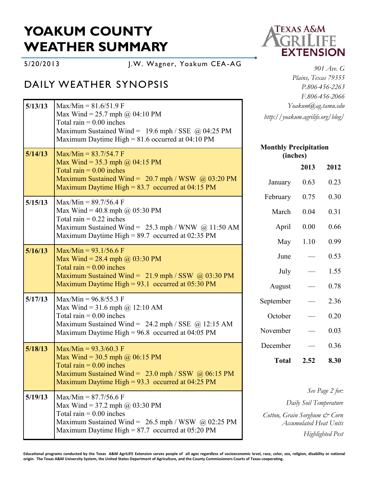# **YOAKUM COUNTY WEATHER SUMMARY**

5/20/2013 J.W. Wagner, Yoakum CEA -AG

## DAILY WEATHER SYNOPSIS

| 5/13/13 | $Max/Min = 81.6/51.9 F$                                                                                                                                                             | Yoakum@ag.tamu.edu                                                                      |                          |                         |
|---------|-------------------------------------------------------------------------------------------------------------------------------------------------------------------------------------|-----------------------------------------------------------------------------------------|--------------------------|-------------------------|
|         | Max Wind = 25.7 mph @ 04:10 PM<br>Total rain $= 0.00$ inches<br>Maximum Sustained Wind = $19.6$ mph / SSE @ 04:25 PM<br>Maximum Daytime High = $81.6$ occurred at 04:10 PM          | http://yoakum.agrilife.org/blog/                                                        |                          |                         |
| 5/14/13 | $Max/Min = 83.7/54.7 F$                                                                                                                                                             | <b>Monthly Precipitation</b><br>(inches)                                                |                          |                         |
|         | Max Wind = 35.3 mph $\omega$ 04:15 PM<br>Total rain $= 0.00$ inches                                                                                                                 |                                                                                         | 2013                     | 2012                    |
|         | Maximum Sustained Wind = $20.7$ mph / WSW @ 03:20 PM<br>Maximum Daytime High = $83.7$ occurred at 04:15 PM                                                                          | January                                                                                 | 0.63                     | 0.23                    |
| 5/15/13 | $Max/Min = 89.7/56.4 F$                                                                                                                                                             | February                                                                                | 0.75                     | 0.30                    |
|         | Max Wind = 40.8 mph @ 05:30 PM<br>Total rain $= 0.22$ inches                                                                                                                        | March                                                                                   | 0.04                     | 0.31                    |
|         | Maximum Sustained Wind = $25.3$ mph / WNW @ 11:50 AM                                                                                                                                | April                                                                                   | 0.00                     | 0.66                    |
|         | Maximum Daytime High = $89.7$ occurred at 02:35 PM                                                                                                                                  | May                                                                                     | 1.10                     | 0.99                    |
| 5/16/13 | Max/Min = $93.1/56.6$ F<br>Max Wind = $28.4$ mph @ 03:30 PM                                                                                                                         | June                                                                                    | $\overline{\phantom{0}}$ | 0.53                    |
|         | Total rain $= 0.00$ inches<br>Maximum Sustained Wind = $21.9$ mph / SSW @ 03:30 PM                                                                                                  | July                                                                                    |                          | 1.55                    |
|         | Maximum Daytime High = $93.1$ occurred at 05:30 PM                                                                                                                                  | August                                                                                  |                          | 0.78                    |
| 5/17/13 | $Max/Min = 96.8/55.3$ F<br>Max Wind = 31.6 mph @ 12:10 AM                                                                                                                           | September                                                                               |                          | 2.36                    |
|         | Total rain $= 0.00$ inches                                                                                                                                                          | October                                                                                 |                          | 0.20                    |
|         | Maximum Sustained Wind = $24.2$ mph / SSE @ 12:15 AM<br>Maximum Daytime High = 96.8 occurred at 04:05 PM                                                                            | November                                                                                |                          | 0.03                    |
| 5/18/13 | Max/Min = $93.3/60.3$ F                                                                                                                                                             | December                                                                                |                          | 0.36                    |
|         | Max Wind = $30.5$ mph @ 06:15 PM<br>Total rain $= 0.00$ inches<br>Maximum Sustained Wind = $23.0$ mph / SSW $\omega$ 06:15 PM<br>Maximum Daytime High = $93.3$ occurred at 04:25 PM | <b>Total</b>                                                                            | 2.52                     | 8.30                    |
| 5/19/13 | $Max/Min = 87.7/56.6$ F<br>Max Wind = 37.2 mph $\omega$ 03:30 PM                                                                                                                    |                                                                                         |                          | See Page 2 for:         |
|         |                                                                                                                                                                                     | Daily Soil Temperature<br>Cotton, Grain Sorghum & Corn<br><b>Accumulated Heat Units</b> |                          |                         |
|         | Total rain $= 0.00$ inches<br>Maximum Sustained Wind = $26.5$ mph / WSW @ 02:25 PM                                                                                                  |                                                                                         |                          |                         |
|         | Maximum Daytime High = $87.7$ occurred at 05:20 PM                                                                                                                                  |                                                                                         |                          | <b>Highlighted Pest</b> |



*901 Ave. G Plains, Texas 79355 P.806-456-2263 F.806-456-2066 Yoakum@ag.tamu.edu http://yoakum.agrilife.org/blog/*

#### **Precipitation (inches) 2013 2012**

**Educational programs conducted by the Texas A&M AgriLIFE Extension serves people of all ages regardless of socioeconomic level, race, color, sex, religion, disability or national origin. The Texas A&M University System, the United States Department of Agriculture, and the County Commissioners Courts of Texas cooperating.**